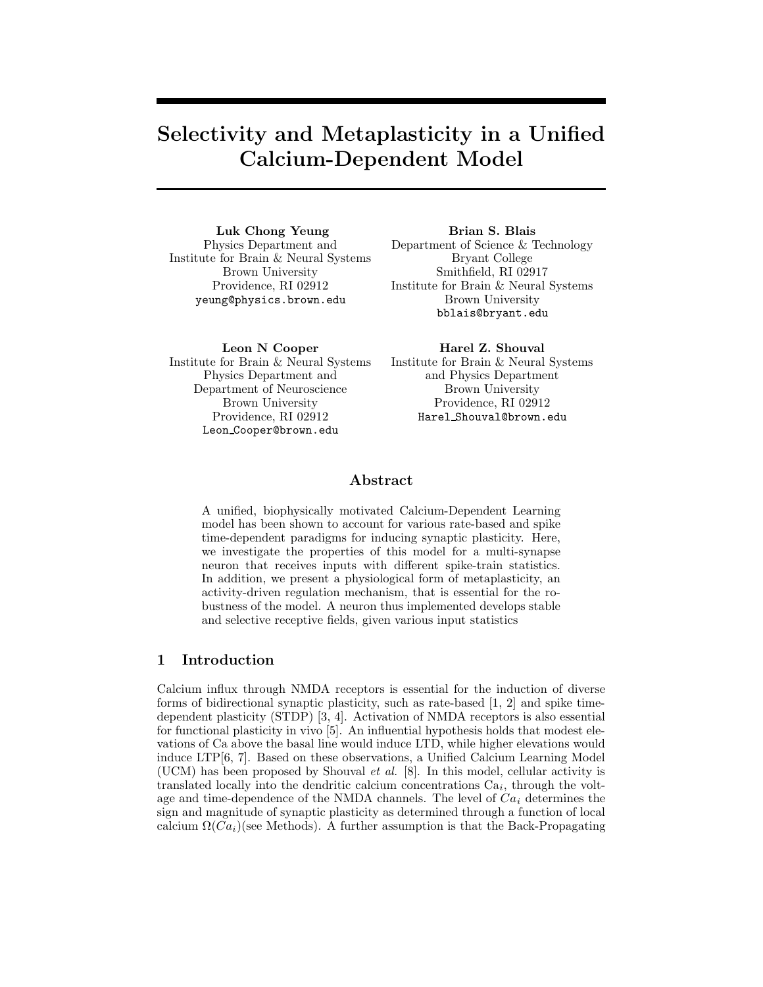# Selectivity and Metaplasticity in a Unified Calcium-Dependent Model

Luk Chong Yeung Physics Department and Institute for Brain & Neural Systems Brown University Providence, RI 02912 yeung@physics.brown.edu

Brian S. Blais Department of Science & Technology Bryant College Smithfield, RI 02917 Institute for Brain & Neural Systems Brown University bblais@bryant.edu

Leon N Cooper Institute for Brain & Neural Systems Physics Department and Department of Neuroscience Brown University Providence, RI 02912 Leon Cooper@brown.edu

Harel Z. Shouval Institute for Brain & Neural Systems and Physics Department Brown University Providence, RI 02912 Harel Shouval@brown.edu

# Abstract

A unified, biophysically motivated Calcium-Dependent Learning model has been shown to account for various rate-based and spike time-dependent paradigms for inducing synaptic plasticity. Here, we investigate the properties of this model for a multi-synapse neuron that receives inputs with different spike-train statistics. In addition, we present a physiological form of metaplasticity, an activity-driven regulation mechanism, that is essential for the robustness of the model. A neuron thus implemented develops stable and selective receptive fields, given various input statistics

# 1 Introduction

Calcium influx through NMDA receptors is essential for the induction of diverse forms of bidirectional synaptic plasticity, such as rate-based [1, 2] and spike timedependent plasticity (STDP) [3, 4]. Activation of NMDA receptors is also essential for functional plasticity in vivo [5]. An influential hypothesis holds that modest elevations of Ca above the basal line would induce LTD, while higher elevations would induce LTP[6, 7]. Based on these observations, a Unified Calcium Learning Model (UCM) has been proposed by Shouval et al. [8]. In this model, cellular activity is translated locally into the dendritic calcium concentrations  $Ca<sub>i</sub>$ , through the voltage and time-dependence of the NMDA channels. The level of  $Ca<sub>i</sub>$  determines the sign and magnitude of synaptic plasticity as determined through a function of local calcium  $\Omega(Ca_i)$ (see Methods). A further assumption is that the Back-Propagating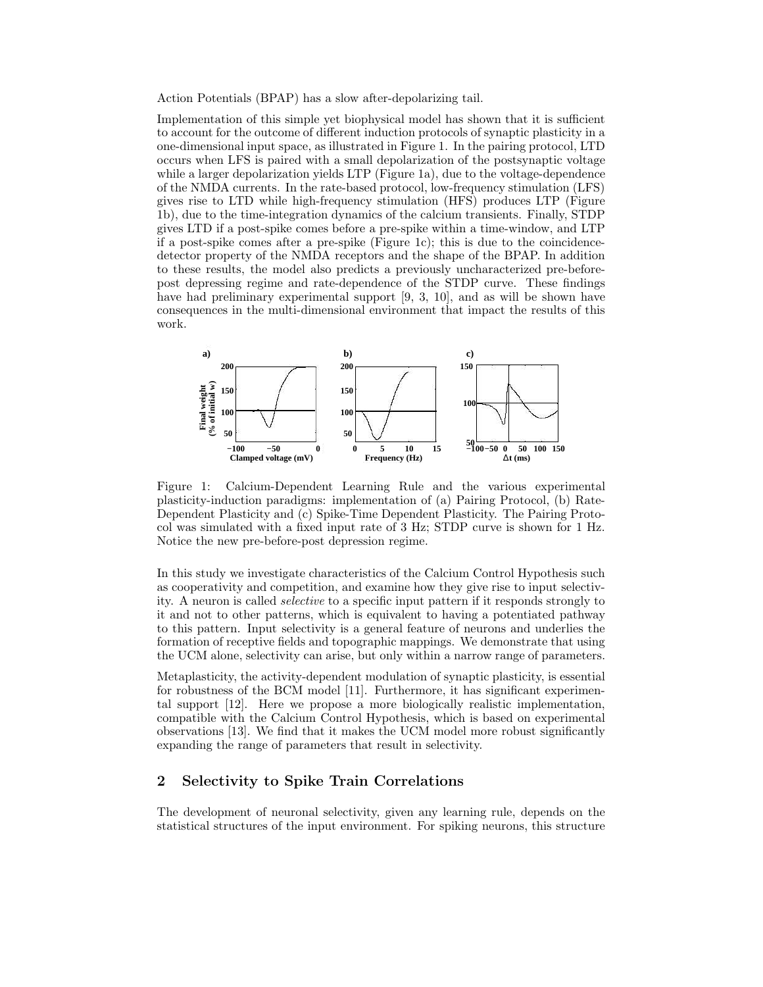Action Potentials (BPAP) has a slow after-depolarizing tail.

Implementation of this simple yet biophysical model has shown that it is sufficient to account for the outcome of different induction protocols of synaptic plasticity in a one-dimensional input space, as illustrated in Figure 1. In the pairing protocol, LTD occurs when LFS is paired with a small depolarization of the postsynaptic voltage while a larger depolarization yields LTP (Figure 1a), due to the voltage-dependence of the NMDA currents. In the rate-based protocol, low-frequency stimulation (LFS) gives rise to LTD while high-frequency stimulation (HFS) produces LTP (Figure 1b), due to the time-integration dynamics of the calcium transients. Finally, STDP gives LTD if a post-spike comes before a pre-spike within a time-window, and LTP if a post-spike comes after a pre-spike (Figure 1c); this is due to the coincidencedetector property of the NMDA receptors and the shape of the BPAP. In addition to these results, the model also predicts a previously uncharacterized pre-beforepost depressing regime and rate-dependence of the STDP curve. These findings have had preliminary experimental support [9, 3, 10], and as will be shown have consequences in the multi-dimensional environment that impact the results of this work.



Figure 1: Calcium-Dependent Learning Rule and the various experimental plasticity-induction paradigms: implementation of (a) Pairing Protocol, (b) Rate-Dependent Plasticity and (c) Spike-Time Dependent Plasticity. The Pairing Protocol was simulated with a fixed input rate of 3 Hz; STDP curve is shown for 1 Hz. Notice the new pre-before-post depression regime.

In this study we investigate characteristics of the Calcium Control Hypothesis such as cooperativity and competition, and examine how they give rise to input selectivity. A neuron is called selective to a specific input pattern if it responds strongly to it and not to other patterns, which is equivalent to having a potentiated pathway to this pattern. Input selectivity is a general feature of neurons and underlies the formation of receptive fields and topographic mappings. We demonstrate that using the UCM alone, selectivity can arise, but only within a narrow range of parameters.

Metaplasticity, the activity-dependent modulation of synaptic plasticity, is essential for robustness of the BCM model [11]. Furthermore, it has significant experimental support [12]. Here we propose a more biologically realistic implementation, compatible with the Calcium Control Hypothesis, which is based on experimental observations [13]. We find that it makes the UCM model more robust significantly expanding the range of parameters that result in selectivity.

# 2 Selectivity to Spike Train Correlations

The development of neuronal selectivity, given any learning rule, depends on the statistical structures of the input environment. For spiking neurons, this structure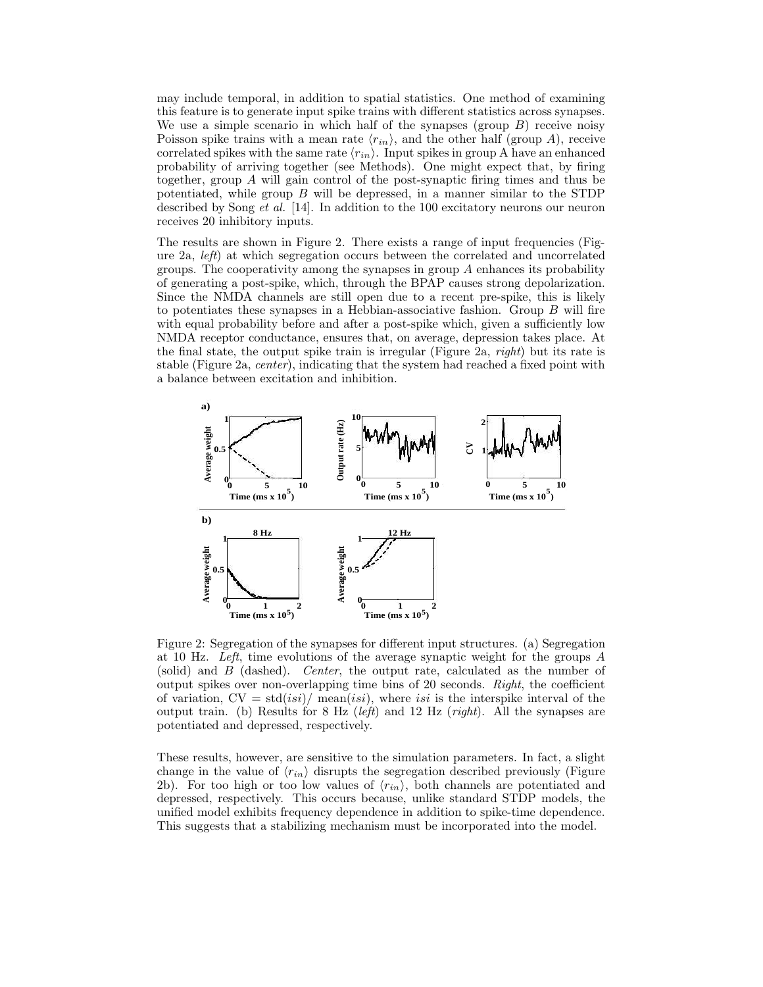may include temporal, in addition to spatial statistics. One method of examining this feature is to generate input spike trains with different statistics across synapses. We use a simple scenario in which half of the synapses (group  $B$ ) receive noisy Poisson spike trains with a mean rate  $\langle r_{in} \rangle$ , and the other half (group A), receive correlated spikes with the same rate  $\langle r_{in} \rangle$ . Input spikes in group A have an enhanced probability of arriving together (see Methods). One might expect that, by firing together, group A will gain control of the post-synaptic firing times and thus be potentiated, while group  $B$  will be depressed, in a manner similar to the STDP described by Song *et al.* [14]. In addition to the 100 excitatory neurons our neuron receives 20 inhibitory inputs.

The results are shown in Figure 2. There exists a range of input frequencies (Figure 2a, left) at which segregation occurs between the correlated and uncorrelated groups. The cooperativity among the synapses in group  $A$  enhances its probability of generating a post-spike, which, through the BPAP causes strong depolarization. Since the NMDA channels are still open due to a recent pre-spike, this is likely to potentiates these synapses in a Hebbian-associative fashion. Group  $B$  will fire with equal probability before and after a post-spike which, given a sufficiently low NMDA receptor conductance, ensures that, on average, depression takes place. At the final state, the output spike train is irregular (Figure 2a, *right*) but its rate is stable (Figure 2a, center), indicating that the system had reached a fixed point with a balance between excitation and inhibition.



Figure 2: Segregation of the synapses for different input structures. (a) Segregation at 10 Hz. Left, time evolutions of the average synaptic weight for the groups  $A$ (solid) and B (dashed). Center, the output rate, calculated as the number of output spikes over non-overlapping time bins of 20 seconds. Right, the coefficient of variation,  $CV = std(isi)/ mean(isi)$ , where isi is the interspike interval of the output train. (b) Results for 8 Hz (*left*) and 12 Hz (*right*). All the synapses are potentiated and depressed, respectively.

These results, however, are sensitive to the simulation parameters. In fact, a slight change in the value of  $\langle r_{in} \rangle$  disrupts the segregation described previously (Figure 2b). For too high or too low values of  $\langle r_{in} \rangle$ , both channels are potentiated and depressed, respectively. This occurs because, unlike standard STDP models, the unified model exhibits frequency dependence in addition to spike-time dependence. This suggests that a stabilizing mechanism must be incorporated into the model.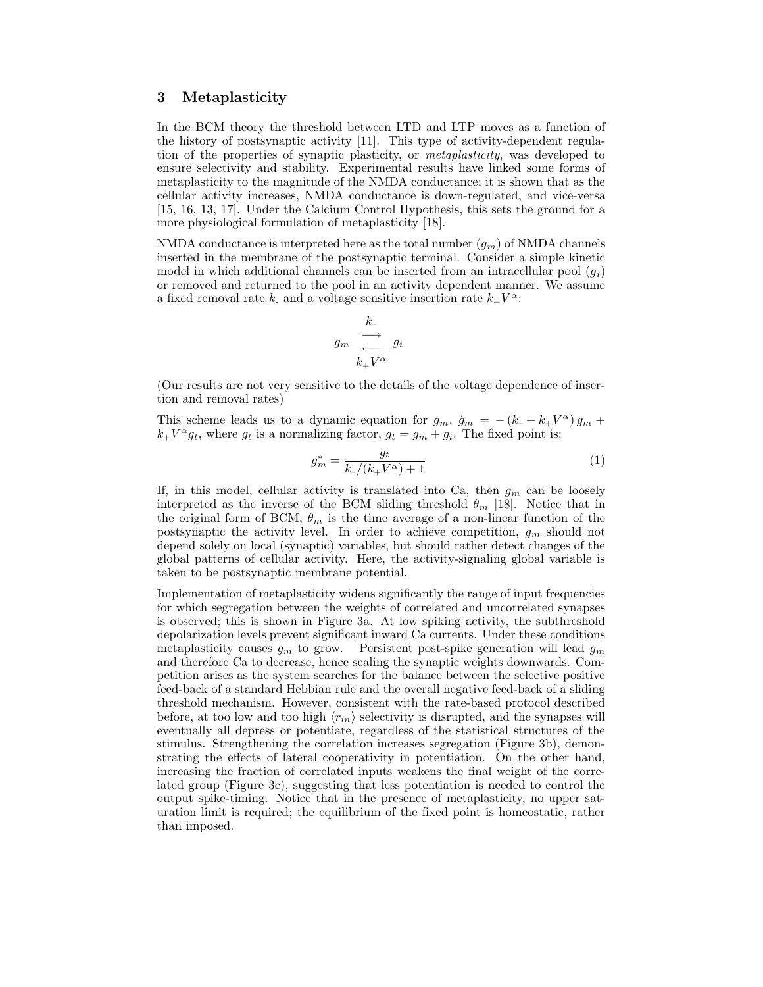### 3 Metaplasticity

In the BCM theory the threshold between LTD and LTP moves as a function of the history of postsynaptic activity [11]. This type of activity-dependent regulation of the properties of synaptic plasticity, or metaplasticity, was developed to ensure selectivity and stability. Experimental results have linked some forms of metaplasticity to the magnitude of the NMDA conductance; it is shown that as the cellular activity increases, NMDA conductance is down-regulated, and vice-versa [15, 16, 13, 17]. Under the Calcium Control Hypothesis, this sets the ground for a more physiological formulation of metaplasticity [18].

NMDA conductance is interpreted here as the total number  $(g_m)$  of NMDA channels inserted in the membrane of the postsynaptic terminal. Consider a simple kinetic model in which additional channels can be inserted from an intracellular pool  $(q_i)$ or removed and returned to the pool in an activity dependent manner. We assume a fixed removal rate k and a voltage sensitive insertion rate  $k_+V^{\alpha}$ :

$$
\begin{array}{ccc}\n & k_{-} & \\
g_m & \xrightarrow{\longleftarrow} & g_i & \\
& k_{+}V^{\alpha}\n\end{array}
$$

(Our results are not very sensitive to the details of the voltage dependence of insertion and removal rates)

This scheme leads us to a dynamic equation for  $g_m$ ,  $\dot{g}_m = -(k + k + V^{\alpha}) g_m +$  $k_+ V^{\alpha} g_t$ , where  $g_t$  is a normalizing factor,  $g_t = g_m + g_i$ . The fixed point is:

$$
g_m^* = \frac{g_t}{k_-/(k_+ V^{\alpha}) + 1} \tag{1}
$$

If, in this model, cellular activity is translated into Ca, then  $g_m$  can be loosely interpreted as the inverse of the BCM sliding threshold  $\theta_m$  [18]. Notice that in the original form of BCM,  $\theta_m$  is the time average of a non-linear function of the postsynaptic the activity level. In order to achieve competition,  $g_m$  should not depend solely on local (synaptic) variables, but should rather detect changes of the global patterns of cellular activity. Here, the activity-signaling global variable is taken to be postsynaptic membrane potential.

Implementation of metaplasticity widens significantly the range of input frequencies for which segregation between the weights of correlated and uncorrelated synapses is observed; this is shown in Figure 3a. At low spiking activity, the subthreshold depolarization levels prevent significant inward Ca currents. Under these conditions metaplasticity causes  $g_m$  to grow. Persistent post-spike generation will lead  $g_m$ and therefore Ca to decrease, hence scaling the synaptic weights downwards. Competition arises as the system searches for the balance between the selective positive feed-back of a standard Hebbian rule and the overall negative feed-back of a sliding threshold mechanism. However, consistent with the rate-based protocol described before, at too low and too high  $\langle r_{in} \rangle$  selectivity is disrupted, and the synapses will eventually all depress or potentiate, regardless of the statistical structures of the stimulus. Strengthening the correlation increases segregation (Figure 3b), demonstrating the effects of lateral cooperativity in potentiation. On the other hand, increasing the fraction of correlated inputs weakens the final weight of the correlated group (Figure 3c), suggesting that less potentiation is needed to control the output spike-timing. Notice that in the presence of metaplasticity, no upper saturation limit is required; the equilibrium of the fixed point is homeostatic, rather than imposed.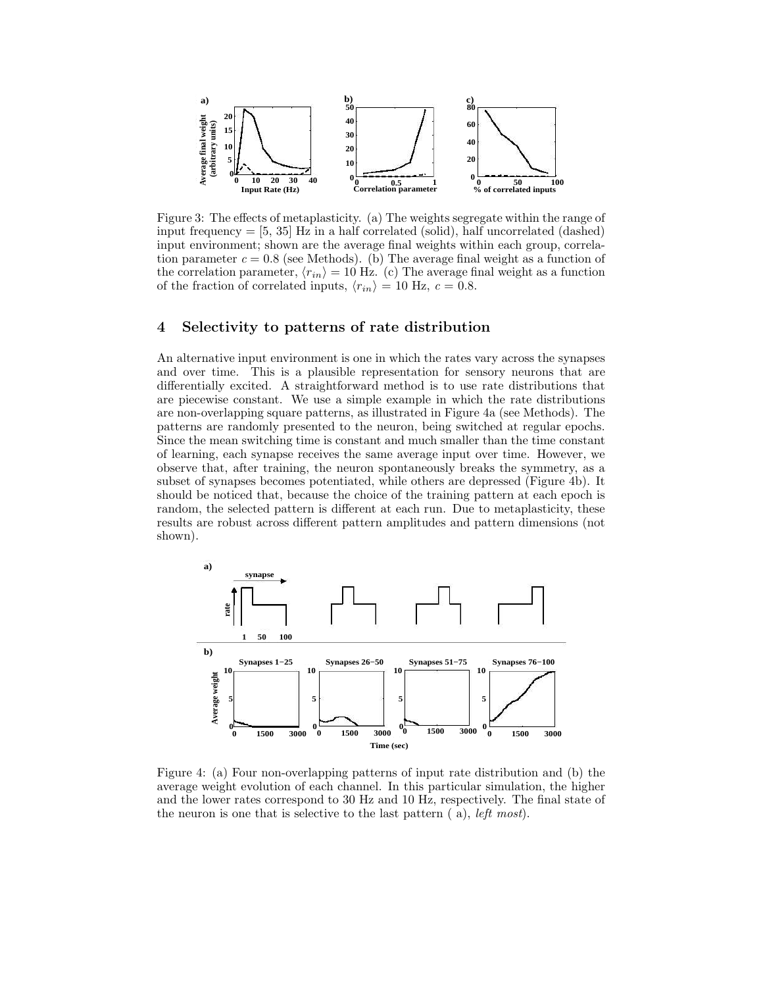

Figure 3: The effects of metaplasticity. (a) The weights segregate within the range of input frequency  $=$  [5, 35] Hz in a half correlated (solid), half uncorrelated (dashed) input environment; shown are the average final weights within each group, correlation parameter  $c = 0.8$  (see Methods). (b) The average final weight as a function of the correlation parameter,  $\langle r_{in} \rangle = 10$  Hz. (c) The average final weight as a function of the fraction of correlated inputs,  $\langle r_{in} \rangle = 10$  Hz,  $c = 0.8$ .

### 4 Selectivity to patterns of rate distribution

An alternative input environment is one in which the rates vary across the synapses and over time. This is a plausible representation for sensory neurons that are differentially excited. A straightforward method is to use rate distributions that are piecewise constant. We use a simple example in which the rate distributions are non-overlapping square patterns, as illustrated in Figure 4a (see Methods). The patterns are randomly presented to the neuron, being switched at regular epochs. Since the mean switching time is constant and much smaller than the time constant of learning, each synapse receives the same average input over time. However, we observe that, after training, the neuron spontaneously breaks the symmetry, as a subset of synapses becomes potentiated, while others are depressed (Figure 4b). It should be noticed that, because the choice of the training pattern at each epoch is random, the selected pattern is different at each run. Due to metaplasticity, these results are robust across different pattern amplitudes and pattern dimensions (not shown).



Figure 4: (a) Four non-overlapping patterns of input rate distribution and (b) the average weight evolution of each channel. In this particular simulation, the higher and the lower rates correspond to 30 Hz and 10 Hz, respectively. The final state of the neuron is one that is selective to the last pattern  $(a)$ , *left most*).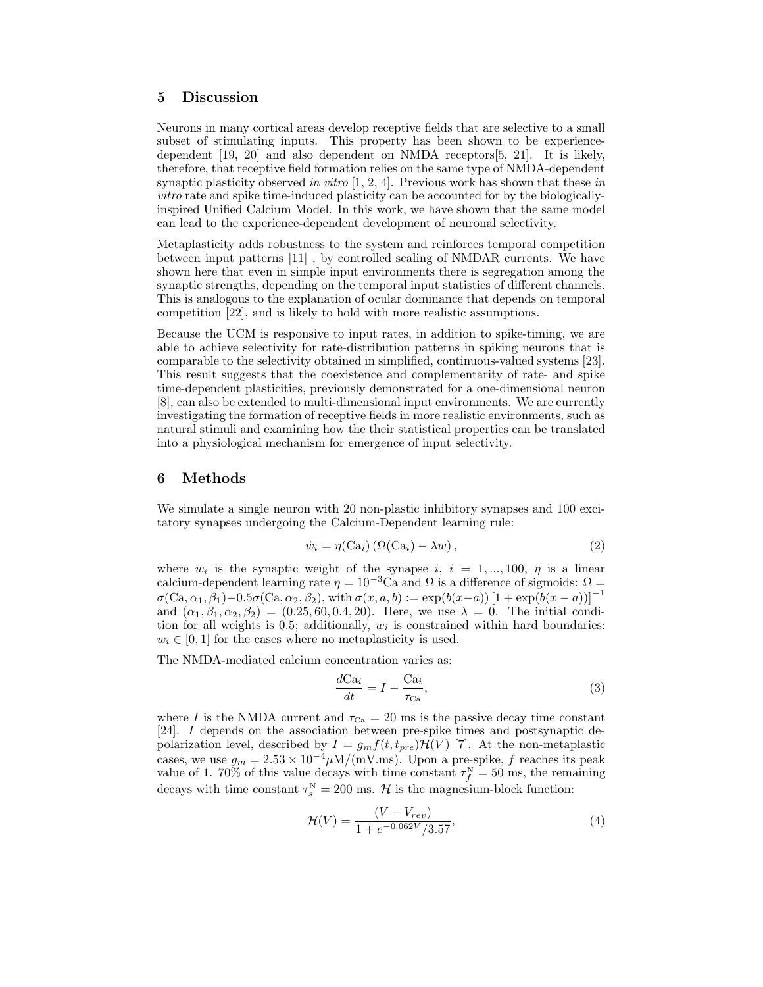# 5 Discussion

Neurons in many cortical areas develop receptive fields that are selective to a small subset of stimulating inputs. This property has been shown to be experiencedependent [19, 20] and also dependent on NMDA receptors[5, 21]. It is likely, therefore, that receptive field formation relies on the same type of NMDA-dependent synaptic plasticity observed in vitro  $[1, 2, 4]$ . Previous work has shown that these in vitro rate and spike time-induced plasticity can be accounted for by the biologicallyinspired Unified Calcium Model. In this work, we have shown that the same model can lead to the experience-dependent development of neuronal selectivity.

Metaplasticity adds robustness to the system and reinforces temporal competition between input patterns [11] , by controlled scaling of NMDAR currents. We have shown here that even in simple input environments there is segregation among the synaptic strengths, depending on the temporal input statistics of different channels. This is analogous to the explanation of ocular dominance that depends on temporal competition [22], and is likely to hold with more realistic assumptions.

Because the UCM is responsive to input rates, in addition to spike-timing, we are able to achieve selectivity for rate-distribution patterns in spiking neurons that is comparable to the selectivity obtained in simplified, continuous-valued systems [23]. This result suggests that the coexistence and complementarity of rate- and spike time-dependent plasticities, previously demonstrated for a one-dimensional neuron [8], can also be extended to multi-dimensional input environments. We are currently investigating the formation of receptive fields in more realistic environments, such as natural stimuli and examining how the their statistical properties can be translated into a physiological mechanism for emergence of input selectivity.

#### 6 Methods

We simulate a single neuron with 20 non-plastic inhibitory synapses and 100 excitatory synapses undergoing the Calcium-Dependent learning rule:

$$
\dot{w}_i = \eta(\text{Ca}_i) \left( \Omega(\text{Ca}_i) - \lambda w \right),\tag{2}
$$

where  $w_i$  is the synaptic weight of the synapse i,  $i = 1, ..., 100, \eta$  is a linear calcium-dependent learning rate  $\eta = 10^{-3}$ Ca and  $\Omega$  is a difference of sigmoids:  $\Omega =$  $\sigma(Ca, \alpha_1, \beta_1)-0.5\sigma(Ca, \alpha_2, \beta_2),$  with  $\sigma(x, a, b) := \exp(b(x-a))\left[1+\exp(b(x-a))\right]^{-1}$ and  $(\alpha_1, \beta_1, \alpha_2, \beta_2) = (0.25, 60, 0.4, 20)$ . Here, we use  $\lambda = 0$ . The initial condition for all weights is  $0.5$ ; additionally,  $w_i$  is constrained within hard boundaries:  $w_i \in [0, 1]$  for the cases where no metaplasticity is used.

The NMDA-mediated calcium concentration varies as:

$$
\frac{d\mathcal{C}\mathbf{a}_i}{dt} = I - \frac{\mathcal{C}\mathbf{a}_i}{\tau_{\mathcal{C}\mathbf{a}}},\tag{3}
$$

where I is the NMDA current and  $\tau_{\text{Ca}} = 20$  ms is the passive decay time constant [24]. I depends on the association between pre-spike times and postsynaptic depolarization level, described by  $I = g_m f(t, t_{pre}) \mathcal{H}(V)$  [7]. At the non-metaplastic cases, we use  $g_m = 2.53 \times 10^{-4} \mu\text{M/(mV} \cdot \text{ms})$ . Upon a pre-spike, f reaches its peak value of 1. 70% of this value decays with time constant  $\tau_f^N = 50$  ms, the remaining decays with time constant  $\tau_s^N = 200$  ms.  $\mathcal H$  is the magnesium-block function:

$$
\mathcal{H}(V) = \frac{(V - V_{rev})}{1 + e^{-0.062V}/3.57},\tag{4}
$$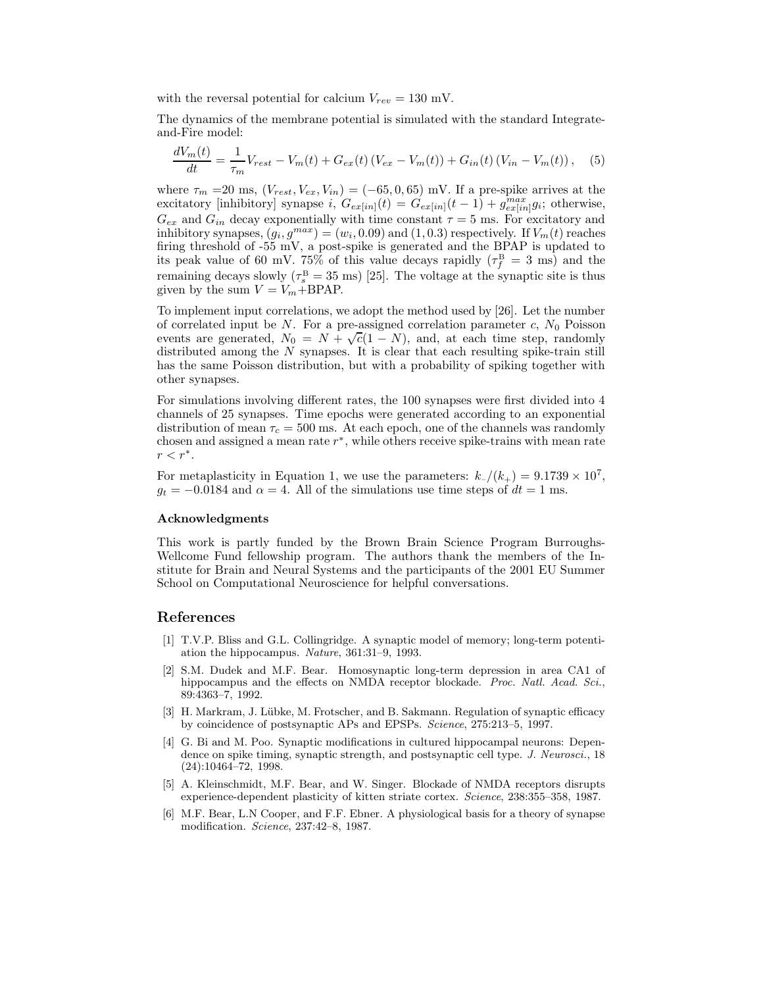with the reversal potential for calcium  $V_{rev} = 130$  mV.

The dynamics of the membrane potential is simulated with the standard Integrateand-Fire model:

$$
\frac{dV_m(t)}{dt} = \frac{1}{\tau_m} V_{rest} - V_m(t) + G_{ex}(t) (V_{ex} - V_m(t)) + G_{in}(t) (V_{in} - V_m(t)), \quad (5)
$$

where  $\tau_m = 20$  ms,  $(V_{rest}, V_{ex}, V_{in}) = (-65, 0, 65)$  mV. If a pre-spike arrives at the excitatory [inhibitory] synapse  $i, G_{ex}[in](t) = G_{ex}[in](t-1) + g_{ex}[in]g_i$ ; otherwise,  $G_{ex}$  and  $G_{in}$  decay exponentially with time constant  $\tau = 5$  ms. For excitatory and inhibitory synapses,  $(g_i, g^{max}) = (w_i, 0.09)$  and  $(1, 0.3)$  respectively. If  $V_m(t)$  reaches firing threshold of -55 mV, a post-spike is generated and the BPAP is updated to its peak value of 60 mV. 75% of this value decays rapidly  $(\tau_f^{\rm B} = 3 \text{ ms})$  and the remaining decays slowly ( $\tau_s^B = 35$  ms) [25]. The voltage at the synaptic site is thus given by the sum  $V = V_m + \text{BPAP}$ .

To implement input correlations, we adopt the method used by [26]. Let the number of correlated input be N. For a pre-assigned correlation parameter  $c, N_0$  Poisson events are generated,  $N_0 = N + \sqrt{c}(1 - N)$ , and, at each time step, randomly distributed among the  $N$  synapses. It is clear that each resulting spike-train still has the same Poisson distribution, but with a probability of spiking together with other synapses.

For simulations involving different rates, the 100 synapses were first divided into 4 channels of 25 synapses. Time epochs were generated according to an exponential distribution of mean  $\tau_c = 500$  ms. At each epoch, one of the channels was randomly chosen and assigned a mean rate  $r^*$ , while others receive spike-trains with mean rate  $r < r^*$ .

For metaplasticity in Equation 1, we use the parameters:  $k/((k_{+}) = 9.1739 \times 10^{7})$ ,  $g_t = -0.0184$  and  $\alpha = 4$ . All of the simulations use time steps of  $dt = 1$  ms.

#### Acknowledgments

This work is partly funded by the Brown Brain Science Program Burroughs-Wellcome Fund fellowship program. The authors thank the members of the Institute for Brain and Neural Systems and the participants of the 2001 EU Summer School on Computational Neuroscience for helpful conversations.

### References

- [1] T.V.P. Bliss and G.L. Collingridge. A synaptic model of memory; long-term potentiation the hippocampus. Nature, 361:31–9, 1993.
- [2] S.M. Dudek and M.F. Bear. Homosynaptic long-term depression in area CA1 of hippocampus and the effects on NMDA receptor blockade. *Proc. Natl. Acad. Sci.*, 89:4363–7, 1992.
- [3] H. Markram, J. Lübke, M. Frotscher, and B. Sakmann. Regulation of synaptic efficacy by coincidence of postsynaptic APs and EPSPs. Science, 275:213–5, 1997.
- [4] G. Bi and M. Poo. Synaptic modifications in cultured hippocampal neurons: Dependence on spike timing, synaptic strength, and postsynaptic cell type. J. Neurosci., 18 (24):10464–72, 1998.
- [5] A. Kleinschmidt, M.F. Bear, and W. Singer. Blockade of NMDA receptors disrupts experience-dependent plasticity of kitten striate cortex. Science, 238:355–358, 1987.
- [6] M.F. Bear, L.N Cooper, and F.F. Ebner. A physiological basis for a theory of synapse modification. Science, 237:42–8, 1987.